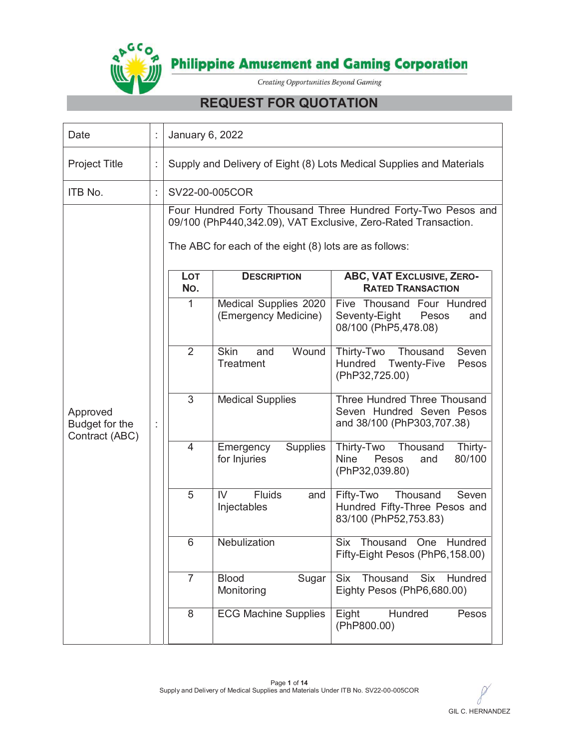

# **REQUEST FOR QUOTATION**

| Date                                         |    | January 6, 2022                                                      |                                                                                                                                                                                                                                                                                                                   |                                                                                                                                                                                                                                                                                                                                                                                                                                                                                                                                                                                                                                                                                                                                                      |  |  |  |  |  |  |
|----------------------------------------------|----|----------------------------------------------------------------------|-------------------------------------------------------------------------------------------------------------------------------------------------------------------------------------------------------------------------------------------------------------------------------------------------------------------|------------------------------------------------------------------------------------------------------------------------------------------------------------------------------------------------------------------------------------------------------------------------------------------------------------------------------------------------------------------------------------------------------------------------------------------------------------------------------------------------------------------------------------------------------------------------------------------------------------------------------------------------------------------------------------------------------------------------------------------------------|--|--|--|--|--|--|
| <b>Project Title</b>                         | t  | Supply and Delivery of Eight (8) Lots Medical Supplies and Materials |                                                                                                                                                                                                                                                                                                                   |                                                                                                                                                                                                                                                                                                                                                                                                                                                                                                                                                                                                                                                                                                                                                      |  |  |  |  |  |  |
| ITB No.                                      | t, |                                                                      | SV22-00-005COR                                                                                                                                                                                                                                                                                                    |                                                                                                                                                                                                                                                                                                                                                                                                                                                                                                                                                                                                                                                                                                                                                      |  |  |  |  |  |  |
| Approved<br>Budget for the<br>Contract (ABC) | İ  | LOT<br>No.<br>1<br>$\overline{2}$<br>3<br>$\overline{4}$<br>5<br>6   | The ABC for each of the eight (8) lots are as follows:<br><b>DESCRIPTION</b><br>Medical Supplies 2020<br>(Emergency Medicine)<br>Wound<br><b>Skin</b><br>and<br>Treatment<br><b>Medical Supplies</b><br><b>Supplies</b><br>Emergency<br>for Injuries<br><b>Fluids</b><br>IV<br>and<br>Injectables<br>Nebulization | Four Hundred Forty Thousand Three Hundred Forty-Two Pesos and<br>09/100 (PhP440,342.09), VAT Exclusive, Zero-Rated Transaction.<br>ABC, VAT EXCLUSIVE, ZERO-<br><b>RATED TRANSACTION</b><br>Five Thousand Four Hundred<br>Seventy-Eight<br>Pesos<br>and<br>08/100 (PhP5,478.08)<br>Thirty-Two<br>Thousand<br>Seven<br>Hundred<br><b>Twenty-Five</b><br>Pesos<br>(PhP32,725.00)<br>Three Hundred Three Thousand<br>Seven Hundred Seven Pesos<br>and 38/100 (PhP303,707.38)<br>Thirty-Two<br>Thousand<br>Thirty-<br>80/100<br><b>Nine</b><br>and<br>Pesos<br>(PhP32,039.80)<br>Fifty-Two<br>Thousand<br>Seven<br>Hundred Fifty-Three Pesos and<br>83/100 (PhP52,753.83)<br><b>Six</b><br>Thousand<br>One<br>Hundred<br>Fifty-Eight Pesos (PhP6,158.00) |  |  |  |  |  |  |
|                                              |    | $\overline{7}$                                                       | <b>Blood</b><br>Sugar<br>Monitoring                                                                                                                                                                                                                                                                               | Hundred<br><b>Six</b><br>Thousand<br><b>Six</b><br>Eighty Pesos (PhP6,680.00)                                                                                                                                                                                                                                                                                                                                                                                                                                                                                                                                                                                                                                                                        |  |  |  |  |  |  |
|                                              |    | 8                                                                    | <b>ECG Machine Supplies</b>                                                                                                                                                                                                                                                                                       | Hundred<br>Pesos<br>Eight<br>(PhP800.00)                                                                                                                                                                                                                                                                                                                                                                                                                                                                                                                                                                                                                                                                                                             |  |  |  |  |  |  |

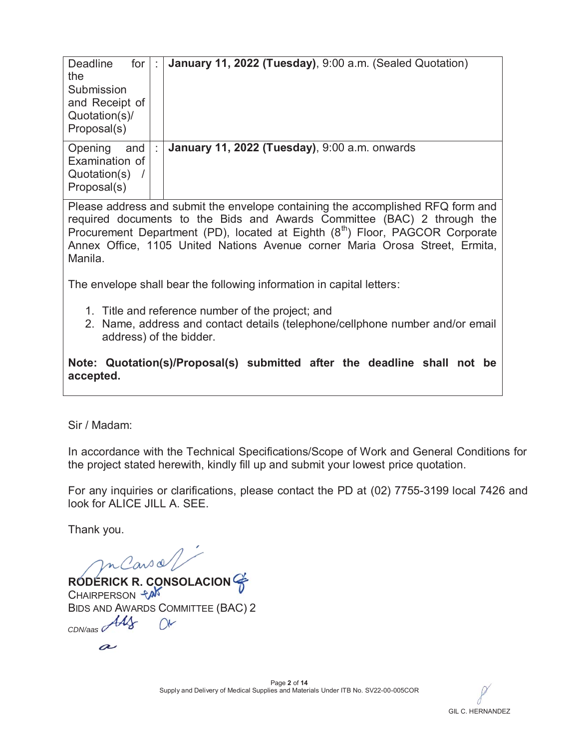| <b>Deadline</b><br>for<br>the<br>Submission<br>and Receipt of<br>Quotation(s)/<br>Proposal(s) | January 11, 2022 (Tuesday), 9:00 a.m. (Sealed Quotation) |
|-----------------------------------------------------------------------------------------------|----------------------------------------------------------|
| Opening<br>and<br>Examination of<br>Quotation(s)<br>Proposal(s)                               | January 11, 2022 (Tuesday), 9:00 a.m. onwards            |

Please address and submit the envelope containing the accomplished RFQ form and required documents to the Bids and Awards Committee (BAC) 2 through the Procurement Department (PD), located at Eighth (8<sup>th</sup>) Floor, PAGCOR Corporate Annex Office, 1105 United Nations Avenue corner Maria Orosa Street, Ermita, Manila.

The envelope shall bear the following information in capital letters:

- 1. Title and reference number of the project; and
- 2. Name, address and contact details (telephone/cellphone number and/or email address) of the bidder.

**Note: Quotation(s)/Proposal(s) submitted after the deadline shall not be accepted.**

Sir / Madam:

In accordance with the Technical Specifications/Scope of Work and General Conditions for the project stated herewith, kindly fill up and submit your lowest price quotation.

For any inquiries or clarifications, please contact the PD at (02) 7755-3199 local 7426 and look for ALICE JILL A. SEE.

Thank you.

mCarsol

**RODERICK R. CONSOLACION R. CO CION**CHAIRPERSON **PAN** BIDS AND AWARDS COMMITTEE (BAC) 2 *CDN/aas*

 $\boldsymbol{\alpha}$ 

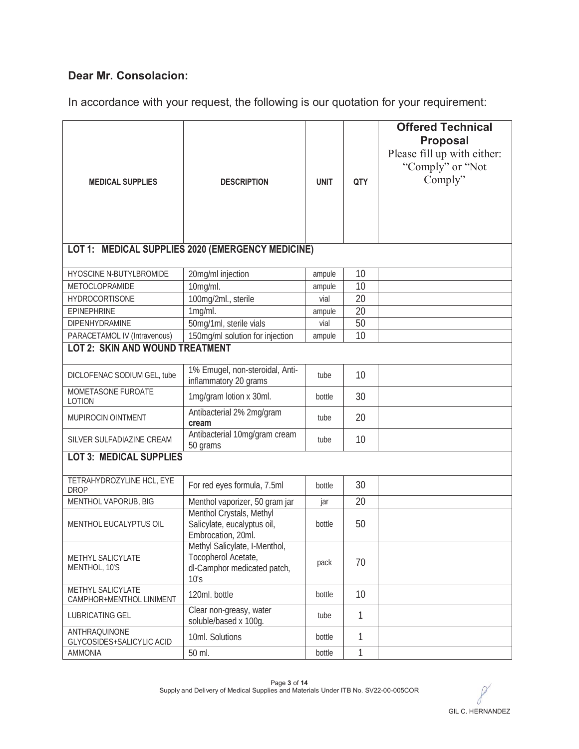### **Dear Mr. Consolacion:**

In accordance with your request, the following is our quotation for your requirement:

|                                                                                                         |                                                                                             |             |              | <b>Offered Technical</b>    |
|---------------------------------------------------------------------------------------------------------|---------------------------------------------------------------------------------------------|-------------|--------------|-----------------------------|
|                                                                                                         |                                                                                             |             |              | <b>Proposal</b>             |
|                                                                                                         |                                                                                             |             |              | Please fill up with either: |
|                                                                                                         |                                                                                             |             |              | "Comply" or "Not            |
| <b>MEDICAL SUPPLIES</b>                                                                                 | <b>DESCRIPTION</b>                                                                          | <b>UNIT</b> | QTY          | Comply"                     |
|                                                                                                         |                                                                                             |             |              |                             |
|                                                                                                         |                                                                                             |             |              |                             |
|                                                                                                         |                                                                                             |             |              |                             |
|                                                                                                         |                                                                                             |             |              |                             |
|                                                                                                         | LOT 1: MEDICAL SUPPLIES 2020 (EMERGENCY MEDICINE)                                           |             |              |                             |
| HYOSCINE N-BUTYLBROMIDE                                                                                 | 20mg/ml injection                                                                           | ampule      | 10           |                             |
| METOCLOPRAMIDE                                                                                          | 10mg/ml.                                                                                    | ampule      | 10           |                             |
| <b>HYDROCORTISONE</b>                                                                                   | 100mg/2ml., sterile                                                                         | vial        | 20           |                             |
| <b>EPINEPHRINE</b>                                                                                      | 1mg/ml.                                                                                     | ampule      | 20           |                             |
| DIPENHYDRAMINE                                                                                          | 50mg/1ml, sterile vials                                                                     | vial        | 50           |                             |
| PARACETAMOL IV (Intravenous)                                                                            | 150mg/ml solution for injection                                                             | ampule      | 10           |                             |
| <b>LOT 2: SKIN AND WOUND TREATMENT</b>                                                                  |                                                                                             |             |              |                             |
| DICLOFENAC SODIUM GEL, tube                                                                             | 1% Emugel, non-steroidal, Anti-<br>inflammatory 20 grams                                    | tube        | 10           |                             |
| MOMETASONE FUROATE<br><b>LOTION</b>                                                                     | 1mg/gram lotion x 30ml.                                                                     | bottle      | 30           |                             |
| MUPIROCIN OINTMENT                                                                                      | Antibacterial 2% 2mg/gram<br>cream                                                          | tube        | 20           |                             |
| Antibacterial 10mg/gram cream<br>SILVER SULFADIAZINE CREAM<br>50 grams                                  |                                                                                             | tube        | 10           |                             |
| <b>LOT 3: MEDICAL SUPPLIES</b>                                                                          |                                                                                             |             |              |                             |
| TETRAHYDROZYLINE HCL, EYE<br><b>DROP</b>                                                                | For red eyes formula, 7.5ml                                                                 | bottle      | 30           |                             |
| MENTHOL VAPORUB, BIG                                                                                    | Menthol vaporizer, 50 gram jar                                                              | jar         | 20           |                             |
| Menthol Crystals, Methyl<br>Salicylate, eucalyptus oil,<br>MENTHOL EUCALYPTUS OIL<br>Embrocation, 20ml. |                                                                                             | bottle      | 50           |                             |
| <b>METHYL SALICYLATE</b><br>MENTHOL, 10'S                                                               | Methyl Salicylate, I-Menthol,<br>Tocopherol Acetate,<br>dl-Camphor medicated patch,<br>10's | pack        | 70           |                             |
| METHYL SALICYLATE<br>CAMPHOR+MENTHOL LINIMENT                                                           | 120ml. bottle                                                                               |             | 10           |                             |
| LUBRICATING GEL                                                                                         | Clear non-greasy, water<br>soluble/based x 100g.                                            | tube        | $\mathbf{1}$ |                             |
| <b>ANTHRAQUINONE</b><br>GLYCOSIDES+SALICYLIC ACID                                                       | 10ml. Solutions                                                                             | bottle      | 1            |                             |
| <b>AMMONIA</b>                                                                                          | 50 ml.                                                                                      | bottle      | 1            |                             |

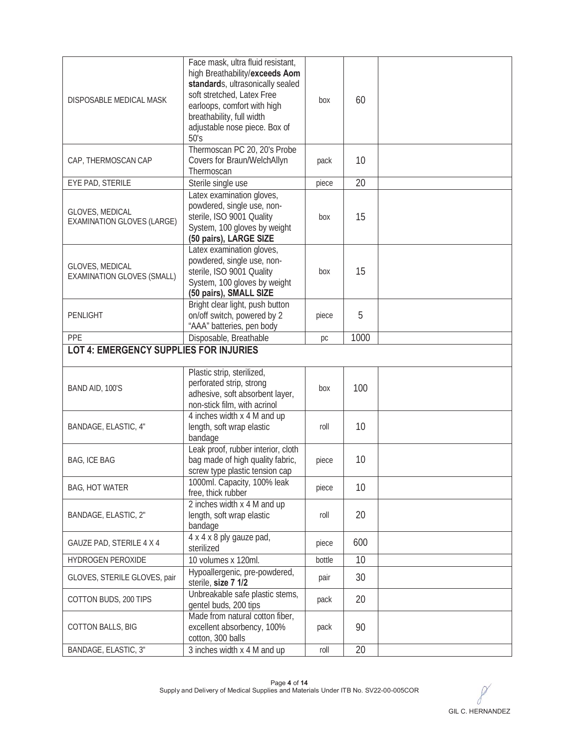| DISPOSABLE MEDICAL MASK                                                                                 | Face mask, ultra fluid resistant,<br>high Breathability/exceeds Aom<br>standards, ultrasonically sealed<br>soft stretched, Latex Free<br>earloops, comfort with high<br>breathability, full width<br>adjustable nose piece. Box of<br>50's | box    | 60   |  |
|---------------------------------------------------------------------------------------------------------|--------------------------------------------------------------------------------------------------------------------------------------------------------------------------------------------------------------------------------------------|--------|------|--|
| CAP, THERMOSCAN CAP                                                                                     | Thermoscan PC 20, 20's Probe<br>Covers for Braun/WelchAllyn<br>Thermoscan                                                                                                                                                                  | pack   | 10   |  |
| EYE PAD, STERILE                                                                                        | Sterile single use                                                                                                                                                                                                                         | piece  | 20   |  |
| GLOVES, MEDICAL<br>EXAMINATION GLOVES (LARGE)                                                           | Latex examination gloves,<br>powdered, single use, non-<br>sterile, ISO 9001 Quality<br>System, 100 gloves by weight<br>(50 pairs), LARGE SIZE                                                                                             | box    | 15   |  |
| GLOVES, MEDICAL<br><b>EXAMINATION GLOVES (SMALL)</b>                                                    | Latex examination gloves,<br>powdered, single use, non-<br>sterile, ISO 9001 Quality<br>System, 100 gloves by weight<br>(50 pairs), SMALL SIZE                                                                                             | box    | 15   |  |
| PENLIGHT                                                                                                | Bright clear light, push button<br>on/off switch, powered by 2<br>"AAA" batteries, pen body                                                                                                                                                | piece  | 5    |  |
| PPE                                                                                                     | Disposable, Breathable                                                                                                                                                                                                                     | pc     | 1000 |  |
| <b>LOT 4: EMERGENCY SUPPLIES FOR INJURIES</b>                                                           |                                                                                                                                                                                                                                            |        |      |  |
|                                                                                                         |                                                                                                                                                                                                                                            |        |      |  |
| BAND AID, 100'S                                                                                         | Plastic strip, sterilized,<br>perforated strip, strong<br>adhesive, soft absorbent layer,<br>non-stick film, with acrinol                                                                                                                  | box    | 100  |  |
| BANDAGE, ELASTIC, 4"                                                                                    | 4 inches width x 4 M and up<br>length, soft wrap elastic<br>bandage                                                                                                                                                                        | roll   | 10   |  |
| <b>BAG, ICE BAG</b>                                                                                     | Leak proof, rubber interior, cloth<br>bag made of high quality fabric,<br>screw type plastic tension cap                                                                                                                                   | piece  | 10   |  |
| <b>BAG, HOT WATER</b>                                                                                   | 1000ml. Capacity, 100% leak<br>free, thick rubber                                                                                                                                                                                          | piece  | 10   |  |
| BANDAGE, ELASTIC, 2"                                                                                    | 2 inches width x 4 M and up<br>length, soft wrap elastic<br>bandage                                                                                                                                                                        | roll   | 20   |  |
| GAUZE PAD, STERILE 4 X 4                                                                                | 4 x 4 x 8 ply gauze pad,<br>sterilized                                                                                                                                                                                                     | piece  | 600  |  |
| HYDROGEN PEROXIDE                                                                                       | 10 volumes x 120ml.                                                                                                                                                                                                                        | bottle | 10   |  |
| GLOVES, STERILE GLOVES, pair                                                                            | Hypoallergenic, pre-powdered,<br>sterile, size 7 1/2                                                                                                                                                                                       | pair   | 30   |  |
| COTTON BUDS, 200 TIPS                                                                                   | Unbreakable safe plastic stems,<br>gentel buds, 200 tips                                                                                                                                                                                   | pack   | 20   |  |
| Made from natural cotton fiber,<br>excellent absorbency, 100%<br>COTTON BALLS, BIG<br>cotton, 300 balls |                                                                                                                                                                                                                                            | pack   | 90   |  |
| BANDAGE, ELASTIC, 3"                                                                                    | 3 inches width x 4 M and up                                                                                                                                                                                                                | roll   | 20   |  |

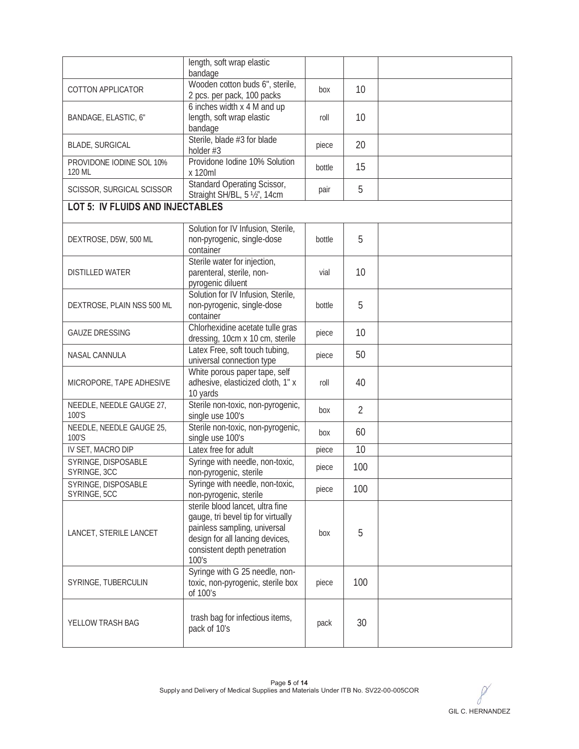|                                         | length, soft wrap elastic                                                                                                                                                          |        |                |  |
|-----------------------------------------|------------------------------------------------------------------------------------------------------------------------------------------------------------------------------------|--------|----------------|--|
| COTTON APPLICATOR                       | bandage<br>Wooden cotton buds 6", sterile,                                                                                                                                         | box    | 10             |  |
|                                         | 2 pcs. per pack, 100 packs<br>6 inches width x 4 M and up                                                                                                                          |        |                |  |
| BANDAGE, ELASTIC, 6"                    | length, soft wrap elastic<br>bandage                                                                                                                                               | roll   | 10             |  |
| <b>BLADE, SURGICAL</b>                  | Sterile, blade #3 for blade<br>holder #3                                                                                                                                           | piece  | 20             |  |
| PROVIDONE IODINE SOL 10%<br>120 ML      | Providone Iodine 10% Solution<br>x 120ml                                                                                                                                           | bottle | 15             |  |
| SCISSOR, SURGICAL SCISSOR               | <b>Standard Operating Scissor,</b><br>Straight SH/BL, 5 1/2", 14cm                                                                                                                 | pair   | 5              |  |
| <b>LOT 5: IV FLUIDS AND INJECTABLES</b> |                                                                                                                                                                                    |        |                |  |
| DEXTROSE, D5W, 500 ML                   | Solution for IV Infusion, Sterile,<br>non-pyrogenic, single-dose<br>container                                                                                                      | bottle | 5              |  |
| <b>DISTILLED WATER</b>                  | Sterile water for injection,<br>parenteral, sterile, non-<br>pyrogenic diluent                                                                                                     | vial   | 10             |  |
| DEXTROSE, PLAIN NSS 500 ML              | Solution for IV Infusion, Sterile,<br>non-pyrogenic, single-dose<br>container                                                                                                      | bottle | 5              |  |
| <b>GAUZE DRESSING</b>                   | Chlorhexidine acetate tulle gras<br>dressing, 10cm x 10 cm, sterile                                                                                                                | piece  | 10             |  |
| NASAL CANNULA                           | Latex Free, soft touch tubing,<br>universal connection type                                                                                                                        | piece  | 50             |  |
| MICROPORE, TAPE ADHESIVE                | White porous paper tape, self<br>adhesive, elasticized cloth, 1" x<br>10 yards                                                                                                     | roll   | 40             |  |
| NEEDLE, NEEDLE GAUGE 27,<br>100'S       | Sterile non-toxic, non-pyrogenic,<br>single use 100's                                                                                                                              | box    | $\overline{2}$ |  |
| NEEDLE, NEEDLE GAUGE 25,<br>100'S       | Sterile non-toxic, non-pyrogenic,<br>single use 100's                                                                                                                              | box    | 60             |  |
| IV SET, MACRO DIP                       | Latex free for adult                                                                                                                                                               | piece  | 10             |  |
| SYRINGE, DISPOSABLE<br>SYRINGE, 3CC     | Syringe with needle, non-toxic,<br>non-pyrogenic, sterile                                                                                                                          | piece  | 100            |  |
| SYRINGE, DISPOSABLE<br>SYRINGE, 5CC     | Syringe with needle, non-toxic,<br>non-pyrogenic, sterile                                                                                                                          | piece  | 100            |  |
| LANCET, STERILE LANCET                  | sterile blood lancet, ultra fine<br>gauge, tri bevel tip for virtually<br>painless sampling, universal<br>design for all lancing devices,<br>consistent depth penetration<br>100's | box    | 5              |  |
| SYRINGE, TUBERCULIN                     | Syringe with G 25 needle, non-<br>toxic, non-pyrogenic, sterile box<br>of 100's                                                                                                    | piece  | 100            |  |
| YELLOW TRASH BAG                        | trash bag for infectious items,<br>pack of 10's                                                                                                                                    | pack   | 30             |  |

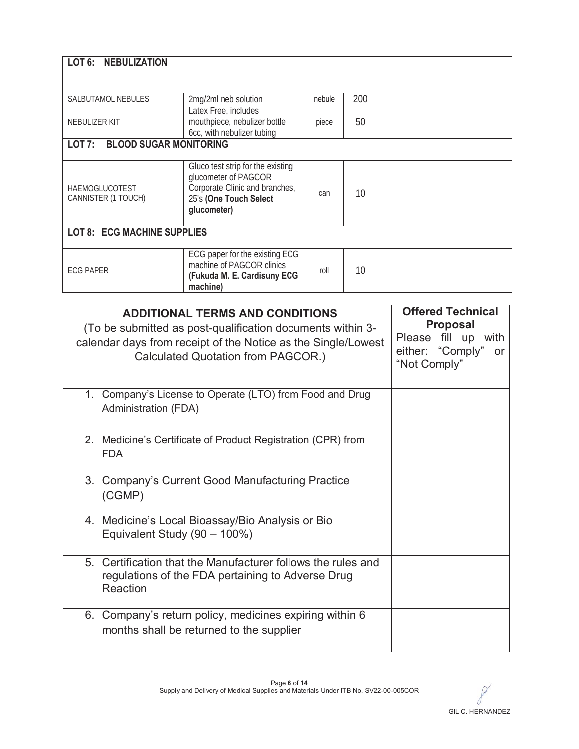| LOT 6: NEBULIZATION                                                                                                                                                                  |                                                                                                        |        |     |  |
|--------------------------------------------------------------------------------------------------------------------------------------------------------------------------------------|--------------------------------------------------------------------------------------------------------|--------|-----|--|
|                                                                                                                                                                                      |                                                                                                        |        |     |  |
| SALBUTAMOL NEBULES                                                                                                                                                                   | 2mg/2ml neb solution                                                                                   | nebule | 200 |  |
| NEBULIZER KIT                                                                                                                                                                        | Latex Free, includes<br>mouthpiece, nebulizer bottle<br>6cc, with nebulizer tubing                     | piece  | 50  |  |
| <b>BLOOD SUGAR MONITORING</b><br>LOT 7:                                                                                                                                              |                                                                                                        |        |     |  |
| Gluco test strip for the existing<br>glucometer of PAGCOR<br>Corporate Clinic and branches,<br><b>HAEMOGLUCOTEST</b><br>CANNISTER (1 TOUCH)<br>25's (One Touch Select<br>glucometer) |                                                                                                        |        | 10  |  |
| <b>LOT 8: ECG MACHINE SUPPLIES</b>                                                                                                                                                   |                                                                                                        |        |     |  |
| <b>ECG PAPER</b>                                                                                                                                                                     | ECG paper for the existing ECG<br>machine of PAGCOR clinics<br>(Fukuda M. E. Cardisuny ECG<br>machine) | roll   | 10  |  |

| <b>ADDITIONAL TERMS AND CONDITIONS</b><br>(To be submitted as post-qualification documents within 3-<br>calendar days from receipt of the Notice as the Single/Lowest<br>Calculated Quotation from PAGCOR.) | <b>Offered Technical</b><br><b>Proposal</b><br>Please fill up<br>with<br>either: "Comply"<br><b>or</b><br>"Not Comply" |
|-------------------------------------------------------------------------------------------------------------------------------------------------------------------------------------------------------------|------------------------------------------------------------------------------------------------------------------------|
| Company's License to Operate (LTO) from Food and Drug<br>1.<br>Administration (FDA)                                                                                                                         |                                                                                                                        |
| 2. Medicine's Certificate of Product Registration (CPR) from<br><b>FDA</b>                                                                                                                                  |                                                                                                                        |
| 3. Company's Current Good Manufacturing Practice<br>(CGMP)                                                                                                                                                  |                                                                                                                        |
| 4. Medicine's Local Bioassay/Bio Analysis or Bio<br>Equivalent Study (90 - 100%)                                                                                                                            |                                                                                                                        |
| 5. Certification that the Manufacturer follows the rules and<br>regulations of the FDA pertaining to Adverse Drug<br>Reaction                                                                               |                                                                                                                        |
| 6. Company's return policy, medicines expiring within 6<br>months shall be returned to the supplier                                                                                                         |                                                                                                                        |

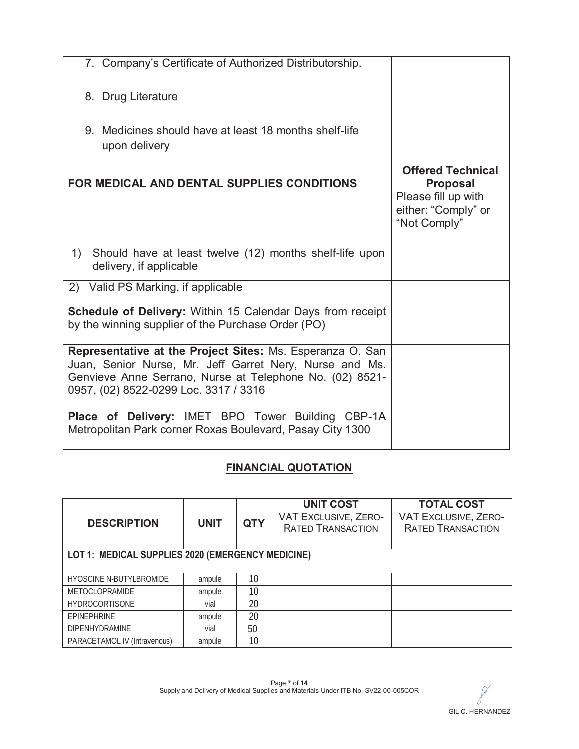| 7. Company's Certificate of Authorized Distributorship.                                                                                                                                                                   |                                                                                                           |
|---------------------------------------------------------------------------------------------------------------------------------------------------------------------------------------------------------------------------|-----------------------------------------------------------------------------------------------------------|
| 8. Drug Literature                                                                                                                                                                                                        |                                                                                                           |
| 9. Medicines should have at least 18 months shelf-life<br>upon delivery                                                                                                                                                   |                                                                                                           |
| FOR MEDICAL AND DENTAL SUPPLIES CONDITIONS                                                                                                                                                                                | <b>Offered Technical</b><br><b>Proposal</b><br>Please fill up with<br>either: "Comply" or<br>"Not Comply" |
| 1) Should have at least twelve (12) months shelf-life upon<br>delivery, if applicable                                                                                                                                     |                                                                                                           |
| 2) Valid PS Marking, if applicable                                                                                                                                                                                        |                                                                                                           |
| Schedule of Delivery: Within 15 Calendar Days from receipt<br>by the winning supplier of the Purchase Order (PO)                                                                                                          |                                                                                                           |
| Representative at the Project Sites: Ms. Esperanza O. San<br>Juan, Senior Nurse, Mr. Jeff Garret Nery, Nurse and Ms.<br>Genvieve Anne Serrano, Nurse at Telephone No. (02) 8521-<br>0957, (02) 8522-0299 Loc. 3317 / 3316 |                                                                                                           |
| Place of Delivery: IMET BPO Tower Building CBP-1A<br>Metropolitan Park corner Roxas Boulevard, Pasay City 1300                                                                                                            |                                                                                                           |

## **FINANCIAL QUOTATION**

| <b>DESCRIPTION</b><br><b>UNIT</b>                 |        | <b>QTY</b> | <b>UNIT COST</b><br><b>VAT EXCLUSIVE, ZERO-</b><br><b>RATED TRANSACTION</b> | <b>TOTAL COST</b><br><b>VAT EXCLUSIVE, ZERO-</b><br><b>RATED TRANSACTION</b> |
|---------------------------------------------------|--------|------------|-----------------------------------------------------------------------------|------------------------------------------------------------------------------|
| LOT 1: MEDICAL SUPPLIES 2020 (EMERGENCY MEDICINE) |        |            |                                                                             |                                                                              |
|                                                   |        |            |                                                                             |                                                                              |
| <b>HYOSCINE N-BUTYLBROMIDE</b>                    | ampule | 10         |                                                                             |                                                                              |
| <b>METOCLOPRAMIDE</b>                             | ampule | 10         |                                                                             |                                                                              |
| <b>HYDROCORTISONE</b>                             | vial   | 20         |                                                                             |                                                                              |
| <b>EPINEPHRINE</b>                                | ampule | 20         |                                                                             |                                                                              |
| <b>DIPENHYDRAMINE</b>                             | vial   | 50         |                                                                             |                                                                              |
| PARACETAMOL IV (Intravenous)                      | ampule | 10         |                                                                             |                                                                              |

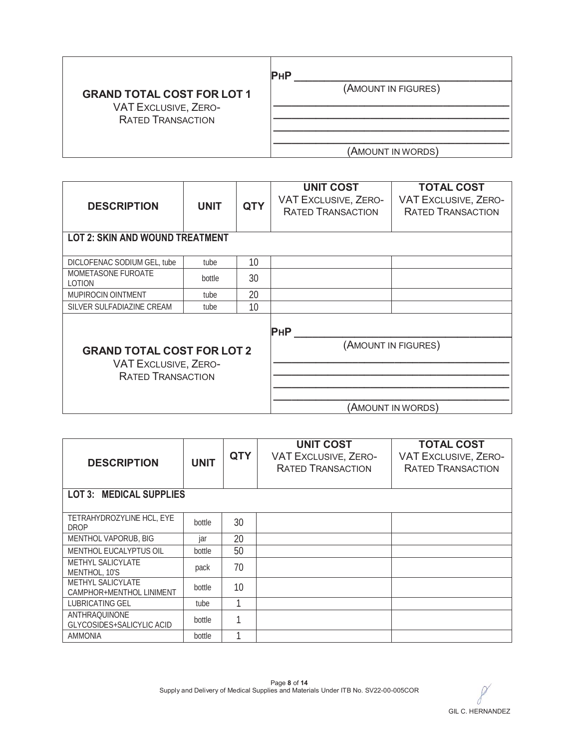|                                                                                       | PHP                 |
|---------------------------------------------------------------------------------------|---------------------|
| <b>GRAND TOTAL COST FOR LOT 1</b><br>VAT EXCLUSIVE, ZERO-<br><b>RATED TRANSACTION</b> | (AMOUNT IN FIGURES) |
|                                                                                       | (AMOUNT IN WORDS)   |

| <b>DESCRIPTION</b>                                      | <b>UNIT</b> | <b>QTY</b> | <b>UNIT COST</b><br>VAT EXCLUSIVE, ZERO-<br><b>RATED TRANSACTION</b> | <b>TOTAL COST</b><br><b>VAT EXCLUSIVE, ZERO-</b><br><b>RATED TRANSACTION</b> |  |  |  |
|---------------------------------------------------------|-------------|------------|----------------------------------------------------------------------|------------------------------------------------------------------------------|--|--|--|
| <b>LOT 2: SKIN AND WOUND TREATMENT</b>                  |             |            |                                                                      |                                                                              |  |  |  |
| DICLOFENAC SODIUM GEL, tube                             | tube        | 10         |                                                                      |                                                                              |  |  |  |
| MOMETASONE FUROATE<br>LOTION                            | bottle      | 30         |                                                                      |                                                                              |  |  |  |
| <b>MUPIROCIN OINTMENT</b>                               | tube        | 20         |                                                                      |                                                                              |  |  |  |
| SILVER SULFADIAZINE CREAM                               | tube        | 10         |                                                                      |                                                                              |  |  |  |
| <b>GRAND TOTAL COST FOR LOT 2</b>                       |             |            | <b>PHP</b>                                                           | (AMOUNT IN FIGURES)                                                          |  |  |  |
| <b>VAT EXCLUSIVE, ZERO-</b><br><b>RATED TRANSACTION</b> |             |            |                                                                      | (AMOUNT IN WORDS)                                                            |  |  |  |

| <b>DESCRIPTION</b>                                   | <b>UNIT</b> | <b>QTY</b> | <b>UNIT COST</b><br><b>VAT EXCLUSIVE, ZERO-</b><br><b>RATED TRANSACTION</b> | <b>TOTAL COST</b><br><b>VAT EXCLUSIVE, ZERO-</b><br><b>RATED TRANSACTION</b> |  |  |  |
|------------------------------------------------------|-------------|------------|-----------------------------------------------------------------------------|------------------------------------------------------------------------------|--|--|--|
| <b>MEDICAL SUPPLIES</b><br>LOT3:                     |             |            |                                                                             |                                                                              |  |  |  |
| TETRAHYDROZYLINE HCL, EYE<br><b>DROP</b>             | bottle      | 30         |                                                                             |                                                                              |  |  |  |
| MENTHOL VAPORUB, BIG                                 | jar         | 20         |                                                                             |                                                                              |  |  |  |
| <b>MENTHOL EUCALYPTUS OIL</b>                        | bottle      | 50         |                                                                             |                                                                              |  |  |  |
| METHYL SALICYLATE<br>MENTHOL, 10'S                   | pack        | 70         |                                                                             |                                                                              |  |  |  |
| <b>METHYL SALICYLATE</b><br>CAMPHOR+MENTHOL LINIMENT | bottle      | 10         |                                                                             |                                                                              |  |  |  |
| <b>LUBRICATING GEL</b>                               | tube        | 1          |                                                                             |                                                                              |  |  |  |
| ANTHRAQUINONE<br>GLYCOSIDES+SALICYLIC ACID           | bottle      |            |                                                                             |                                                                              |  |  |  |
| <b>AMMONIA</b>                                       | bottle      |            |                                                                             |                                                                              |  |  |  |

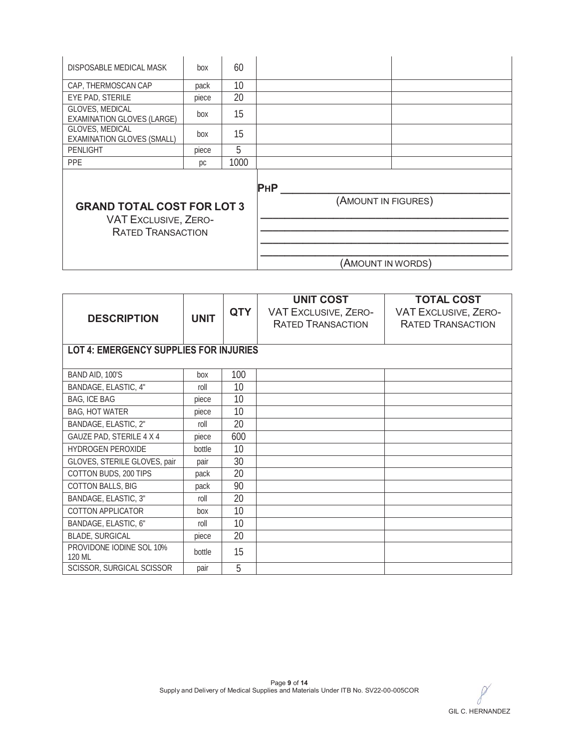| DISPOSABLE MEDICAL MASK                                                                      | box   | 60   |                     |
|----------------------------------------------------------------------------------------------|-------|------|---------------------|
| CAP, THERMOSCAN CAP                                                                          | pack  | 10   |                     |
| EYE PAD, STERILE                                                                             | piece | 20   |                     |
| GLOVES, MEDICAL<br><b>EXAMINATION GLOVES (LARGE)</b>                                         | box   | 15   |                     |
| GLOVES, MEDICAL<br><b>EXAMINATION GLOVES (SMALL)</b>                                         | box   | 15   |                     |
| <b>PENLIGHT</b>                                                                              | piece | 5    |                     |
| <b>PPE</b>                                                                                   | рc    | 1000 |                     |
|                                                                                              |       |      | <b>PHP</b>          |
| <b>GRAND TOTAL COST FOR LOT 3</b><br><b>VAT EXCLUSIVE, ZERO-</b><br><b>RATED TRANSACTION</b> |       |      | (AMOUNT IN FIGURES) |
|                                                                                              |       |      |                     |
|                                                                                              |       |      |                     |
|                                                                                              |       |      | (AMOUNT IN WORDS)   |

|                                               |             |            | <b>UNIT COST</b>         | <b>TOTAL COST</b>        |
|-----------------------------------------------|-------------|------------|--------------------------|--------------------------|
| <b>DESCRIPTION</b>                            | <b>UNIT</b> | <b>QTY</b> | VAT EXCLUSIVE, ZERO-     | VAT EXCLUSIVE, ZERO-     |
|                                               |             |            | <b>RATED TRANSACTION</b> | <b>RATED TRANSACTION</b> |
|                                               |             |            |                          |                          |
| <b>LOT 4: EMERGENCY SUPPLIES FOR INJURIES</b> |             |            |                          |                          |
|                                               |             |            |                          |                          |
| BAND AID, 100'S                               | box         | 100        |                          |                          |
| BANDAGE, ELASTIC, 4"                          | roll        | 10         |                          |                          |
| BAG, ICE BAG                                  | piece       | 10         |                          |                          |
| <b>BAG, HOT WATER</b>                         | piece       | 10         |                          |                          |
| BANDAGE, ELASTIC, 2"                          | roll        | 20         |                          |                          |
| GAUZE PAD, STERILE 4 X 4                      | piece       | 600        |                          |                          |
| HYDROGEN PEROXIDE                             | bottle      | 10         |                          |                          |
| GLOVES, STERILE GLOVES, pair                  | pair        | 30         |                          |                          |
| COTTON BUDS, 200 TIPS                         | pack        | 20         |                          |                          |
| <b>COTTON BALLS, BIG</b>                      | pack        | 90         |                          |                          |
| BANDAGE, ELASTIC, 3"                          | roll        | 20         |                          |                          |
| COTTON APPLICATOR                             | box         | 10         |                          |                          |
| BANDAGE, ELASTIC, 6"                          | roll        | 10         |                          |                          |
| <b>BLADE, SURGICAL</b>                        | piece       | 20         |                          |                          |
| PROVIDONE IODINE SOL 10%<br>120 ML            | bottle      | 15         |                          |                          |
| SCISSOR, SURGICAL SCISSOR                     | pair        | 5          |                          |                          |

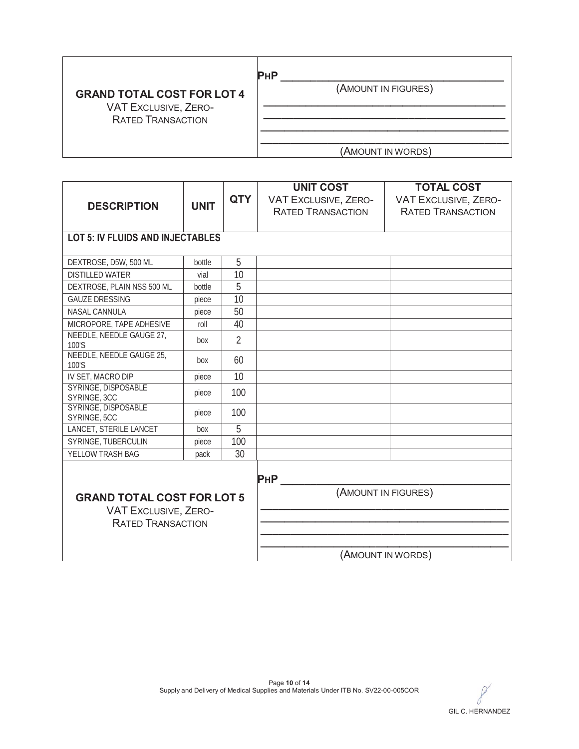| <b>GRAND TOTAL COST FOR LOT 4</b><br>VAT EXCLUSIVE, ZERO-<br><b>RATED TRANSACTION</b> | <b>PHP</b><br>(AMOUNT IN FIGURES) |
|---------------------------------------------------------------------------------------|-----------------------------------|
|                                                                                       | (AMOUNT IN WORDS)                 |

| <b>DESCRIPTION</b>                                                                           | <b>UNIT</b> | <b>QTY</b>     | <b>UNIT COST</b><br><b>VAT EXCLUSIVE, ZERO-</b><br><b>RATED TRANSACTION</b> | <b>TOTAL COST</b><br><b>VAT EXCLUSIVE, ZERO-</b><br><b>RATED TRANSACTION</b> |
|----------------------------------------------------------------------------------------------|-------------|----------------|-----------------------------------------------------------------------------|------------------------------------------------------------------------------|
| <b>LOT 5: IV FLUIDS AND INJECTABLES</b>                                                      |             |                |                                                                             |                                                                              |
| DEXTROSE, D5W, 500 ML                                                                        | bottle      | 5              |                                                                             |                                                                              |
| <b>DISTILLED WATER</b>                                                                       | vial        | 10             |                                                                             |                                                                              |
| DEXTROSE, PLAIN NSS 500 ML                                                                   | bottle      | 5              |                                                                             |                                                                              |
| <b>GAUZE DRESSING</b>                                                                        | piece       | 10             |                                                                             |                                                                              |
| NASAL CANNULA                                                                                | piece       | 50             |                                                                             |                                                                              |
| MICROPORE, TAPE ADHESIVE                                                                     | roll        | 40             |                                                                             |                                                                              |
| NEEDLE, NEEDLE GAUGE 27,<br>100'S                                                            | box         | $\overline{2}$ |                                                                             |                                                                              |
| NEEDLE, NEEDLE GAUGE 25,<br>100'S                                                            | box         | 60             |                                                                             |                                                                              |
| IV SET, MACRO DIP                                                                            | piece       | 10             |                                                                             |                                                                              |
| SYRINGE, DISPOSABLE<br>SYRINGE, 3CC                                                          | piece       | 100            |                                                                             |                                                                              |
| SYRINGE, DISPOSABLE<br>SYRINGE, 5CC                                                          | piece       | 100            |                                                                             |                                                                              |
| LANCET, STERILE LANCET                                                                       | box         | $\overline{5}$ |                                                                             |                                                                              |
| SYRINGE, TUBERCULIN                                                                          | piece       | 100            |                                                                             |                                                                              |
| YELLOW TRASH BAG                                                                             | pack        | 30             |                                                                             |                                                                              |
|                                                                                              |             |                | <b>PHP</b>                                                                  |                                                                              |
| <b>GRAND TOTAL COST FOR LOT 5</b><br><b>VAT EXCLUSIVE, ZERO-</b><br><b>RATED TRANSACTION</b> |             |                | (AMOUNT IN FIGURES)                                                         |                                                                              |
|                                                                                              |             |                |                                                                             |                                                                              |
|                                                                                              |             |                |                                                                             | (AMOUNT IN WORDS)                                                            |

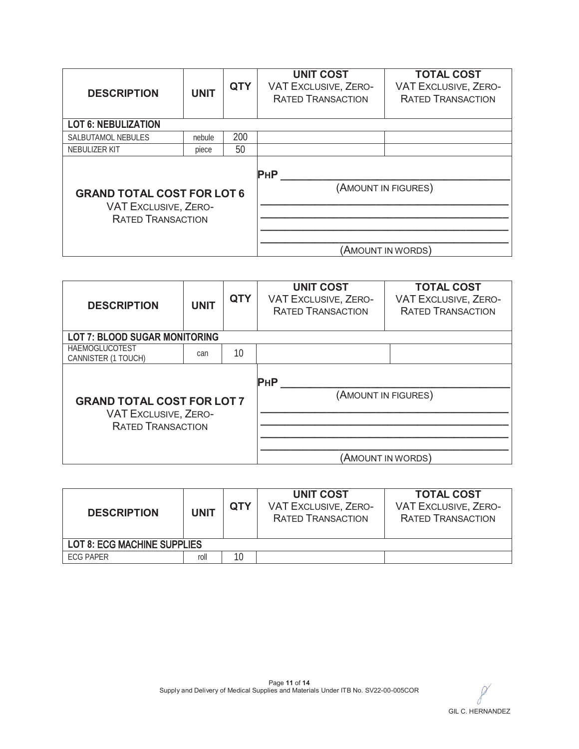| <b>DESCRIPTION</b>                                                                           | <b>UNIT</b> | <b>QTY</b> | <b>UNIT COST</b><br><b>VAT EXCLUSIVE, ZERO-</b><br><b>RATED TRANSACTION</b> | <b>TOTAL COST</b><br><b>VAT EXCLUSIVE, ZERO-</b><br><b>RATED TRANSACTION</b> |
|----------------------------------------------------------------------------------------------|-------------|------------|-----------------------------------------------------------------------------|------------------------------------------------------------------------------|
| <b>LOT 6: NEBULIZATION</b>                                                                   |             |            |                                                                             |                                                                              |
| <b>SALBUTAMOL NEBULES</b>                                                                    | nebule      | 200        |                                                                             |                                                                              |
| NEBULIZER KIT                                                                                | piece       | 50         |                                                                             |                                                                              |
| <b>GRAND TOTAL COST FOR LOT 6</b><br><b>VAT EXCLUSIVE, ZERO-</b><br><b>RATED TRANSACTION</b> |             |            | <b>PHP</b>                                                                  | (AMOUNT IN FIGURES)<br>(AMOUNT IN WORDS)                                     |

| <b>DESCRIPTION</b>                                                                           | <b>UNIT</b> | <b>QTY</b> | <b>UNIT COST</b><br><b>VAT EXCLUSIVE, ZERO-</b><br><b>RATED TRANSACTION</b> | <b>TOTAL COST</b><br><b>VAT EXCLUSIVE, ZERO-</b><br><b>RATED TRANSACTION</b> |
|----------------------------------------------------------------------------------------------|-------------|------------|-----------------------------------------------------------------------------|------------------------------------------------------------------------------|
| <b>LOT 7: BLOOD SUGAR MONITORING</b>                                                         |             |            |                                                                             |                                                                              |
| <b>HAEMOGLUCOTEST</b><br>CANNISTER (1 TOUCH)                                                 | can         | 10         |                                                                             |                                                                              |
| <b>GRAND TOTAL COST FOR LOT 7</b><br><b>VAT EXCLUSIVE, ZERO-</b><br><b>RATED TRANSACTION</b> |             |            | <b>PHP</b>                                                                  | (AMOUNT IN FIGURES)<br>(AMOUNT IN WORDS)                                     |

| <b>DESCRIPTION</b>                 | <b>UNIT</b> | <b>QTY</b> | <b>UNIT COST</b><br><b>VAT EXCLUSIVE, ZERO-</b><br><b>RATED TRANSACTION</b> | <b>TOTAL COST</b><br><b>VAT EXCLUSIVE, ZERO-</b><br><b>RATED TRANSACTION</b> |
|------------------------------------|-------------|------------|-----------------------------------------------------------------------------|------------------------------------------------------------------------------|
| <b>LOT 8: ECG MACHINE SUPPLIES</b> |             |            |                                                                             |                                                                              |
| <b>FCG PAPER</b>                   | roll        | 10         |                                                                             |                                                                              |

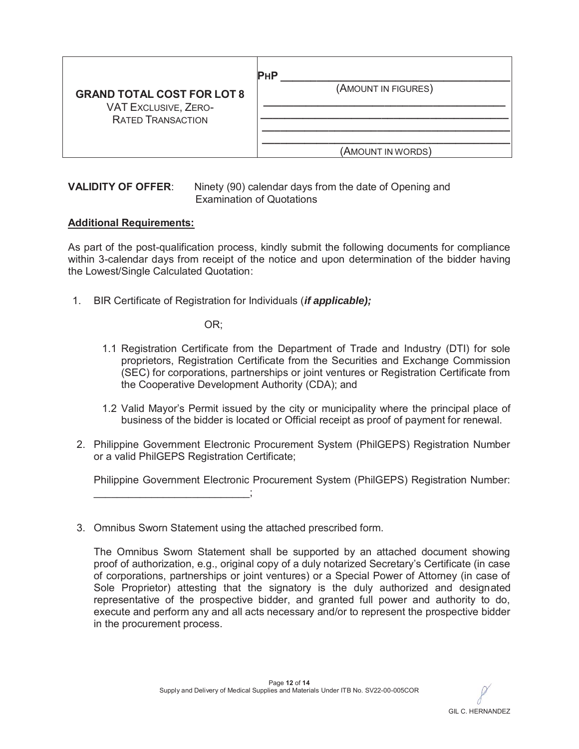|                                                                                              | РнР                 |
|----------------------------------------------------------------------------------------------|---------------------|
| <b>GRAND TOTAL COST FOR LOT 8</b><br><b>VAT EXCLUSIVE, ZERO-</b><br><b>RATED TRANSACTION</b> | (AMOUNT IN FIGURES) |
|                                                                                              | (AMOUNT IN WORDS)   |

#### **VALIDITY OF OFFER**: Ninety (90) calendar days from the date of Opening and Examination of Quotations

#### **Additional Requirements:**

As part of the post-qualification process, kindly submit the following documents for compliance within 3-calendar days from receipt of the notice and upon determination of the bidder having the Lowest/Single Calculated Quotation:

1. BIR Certificate of Registration for Individuals (*if applicable);*

OR;

- 1.1 Registration Certificate from the Department of Trade and Industry (DTI) for sole proprietors, Registration Certificate from the Securities and Exchange Commission (SEC) for corporations, partnerships or joint ventures or Registration Certificate from the Cooperative Development Authority (CDA); and
- 1.2 Valid Mayor's Permit issued by the city or municipality where the principal place of business of the bidder is located or Official receipt as proof of payment for renewal.
- 2. Philippine Government Electronic Procurement System (PhilGEPS) Registration Number or a valid PhilGEPS Registration Certificate;

Philippine Government Electronic Procurement System (PhilGEPS) Registration Number:

3. Omnibus Sworn Statement using the attached prescribed form.

 $\frac{1}{2}$ 

The Omnibus Sworn Statement shall be supported by an attached document showing proof of authorization, e.g., original copy of a duly notarized Secretary's Certificate (in case of corporations, partnerships or joint ventures) or a Special Power of Attorney (in case of Sole Proprietor) attesting that the signatory is the duly authorized and designated representative of the prospective bidder, and granted full power and authority to do, execute and perform any and all acts necessary and/or to represent the prospective bidder in the procurement process.

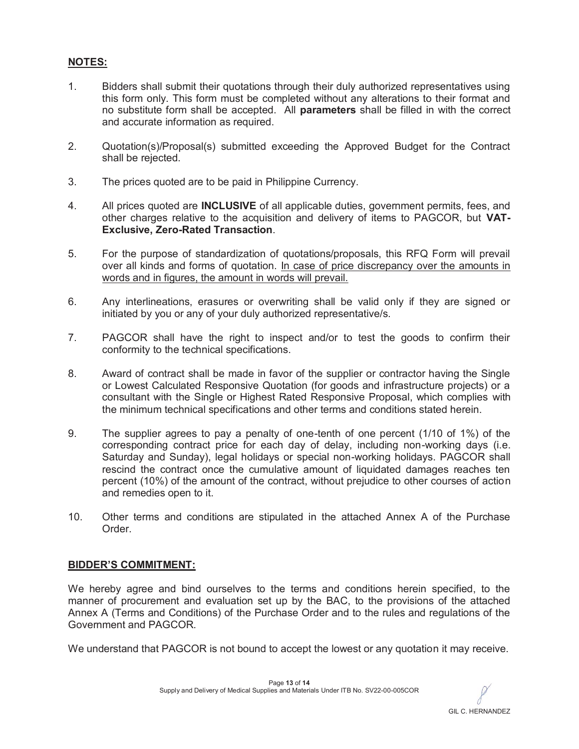### **NOTES:**

- 1. Bidders shall submit their quotations through their duly authorized representatives using this form only. This form must be completed without any alterations to their format and no substitute form shall be accepted. All **parameters** shall be filled in with the correct and accurate information as required.
- 2. Quotation(s)/Proposal(s) submitted exceeding the Approved Budget for the Contract shall be rejected.
- 3. The prices quoted are to be paid in Philippine Currency.
- 4. All prices quoted are **INCLUSIVE** of all applicable duties, government permits, fees, and other charges relative to the acquisition and delivery of items to PAGCOR, but **VAT-Exclusive, Zero-Rated Transaction**.
- 5. For the purpose of standardization of quotations/proposals, this RFQ Form will prevail over all kinds and forms of quotation. In case of price discrepancy over the amounts in words and in figures, the amount in words will prevail.
- 6. Any interlineations, erasures or overwriting shall be valid only if they are signed or initiated by you or any of your duly authorized representative/s.
- 7. PAGCOR shall have the right to inspect and/or to test the goods to confirm their conformity to the technical specifications.
- 8. Award of contract shall be made in favor of the supplier or contractor having the Single or Lowest Calculated Responsive Quotation (for goods and infrastructure projects) or a consultant with the Single or Highest Rated Responsive Proposal, which complies with the minimum technical specifications and other terms and conditions stated herein.
- 9. The supplier agrees to pay a penalty of one-tenth of one percent (1/10 of 1%) of the corresponding contract price for each day of delay, including non-working days (i.e. Saturday and Sunday), legal holidays or special non-working holidays. PAGCOR shall rescind the contract once the cumulative amount of liquidated damages reaches ten percent (10%) of the amount of the contract, without prejudice to other courses of action and remedies open to it.
- 10. Other terms and conditions are stipulated in the attached Annex A of the Purchase Order.

#### **BIDDER'S COMMITMENT:**

We hereby agree and bind ourselves to the terms and conditions herein specified, to the manner of procurement and evaluation set up by the BAC, to the provisions of the attached Annex A (Terms and Conditions) of the Purchase Order and to the rules and regulations of the Government and PAGCOR.

We understand that PAGCOR is not bound to accept the lowest or any quotation it may receive.